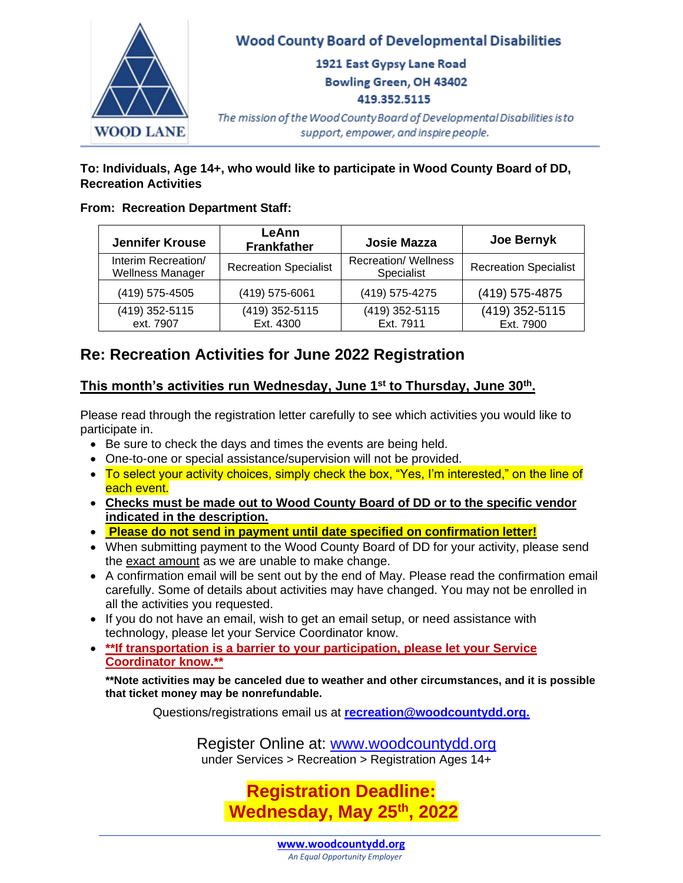

## **To: Individuals, Age 14+, who would like to participate in Wood County Board of DD, Recreation Activities**

## **From: Recreation Department Staff:**

| <b>Jennifer Krouse</b>                         | LeAnn<br><b>Frankfather</b>  | <b>Josie Mazza</b>                        | Joe Bernyk                   |  |
|------------------------------------------------|------------------------------|-------------------------------------------|------------------------------|--|
| Interim Recreation/<br><b>Wellness Manager</b> | <b>Recreation Specialist</b> | <b>Recreation/ Wellness</b><br>Specialist | <b>Recreation Specialist</b> |  |
| (419) 575-4505                                 | (419) 575-6061               | (419) 575-4275                            | (419) 575-4875               |  |
| (419) 352-5115<br>ext. 7907                    | (419) 352-5115<br>Ext. 4300  | (419) 352-5115<br>Ext. 7911               | (419) 352-5115<br>Ext. 7900  |  |

# **Re: Recreation Activities for June 2022 Registration**

# **This month's activities run Wednesday, June 1st to Thursday, June 30th .**

Please read through the registration letter carefully to see which activities you would like to participate in.

- Be sure to check the days and times the events are being held.
- One-to-one or special assistance/supervision will not be provided.
- To select your activity choices, simply check the box, "Yes, I'm interested," on the line of each event.
- **Checks must be made out to Wood County Board of DD or to the specific vendor indicated in the description.**
- **Please do not send in payment until date specified on confirmation letter!**
- When submitting payment to the Wood County Board of DD for your activity, please send the exact amount as we are unable to make change.
- A confirmation email will be sent out by the end of May. Please read the confirmation email carefully. Some of details about activities may have changed. You may not be enrolled in all the activities you requested.
- If you do not have an email, wish to get an email setup, or need assistance with technology, please let your Service Coordinator know.
- **\*\*If transportation is a barrier to your participation, please let your Service Coordinator know.\*\***

**\*\*Note activities may be canceled due to weather and other circumstances, and it is possible that ticket money may be nonrefundable.**

Questions/registrations email us at **[recreation@woodcountydd.org.](mailto:recreation@woodcountydd.org)**

Register Online at: [www.woodcountydd.org](http://www.woodcountydd.org/) under Services > Recreation > Registration Ages 14+

> **Registration Deadline: Wednesday, May 25th, 2022**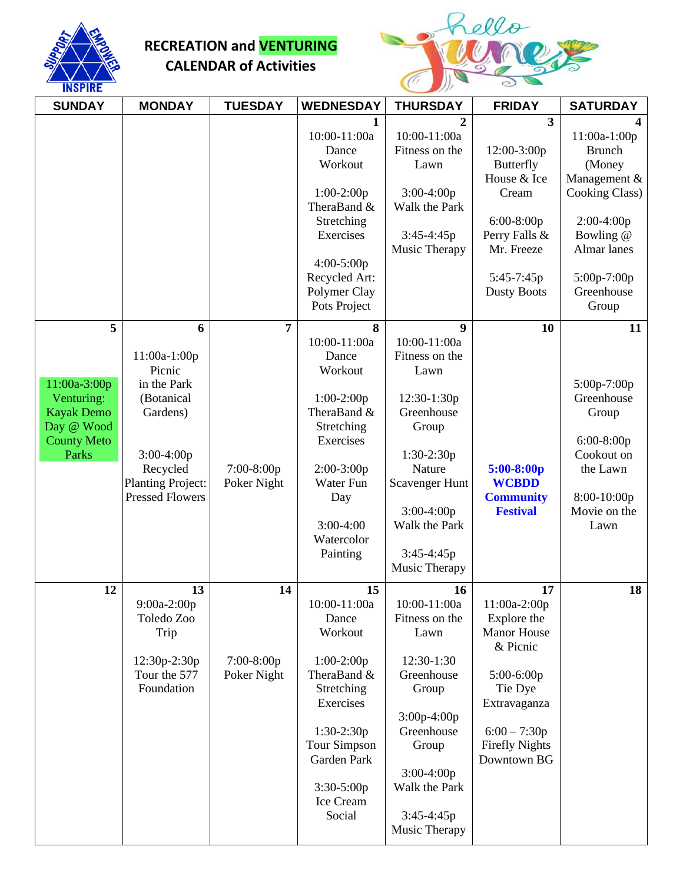

# **RECREATION and VENTURING CALENDAR of Activities**



| <b>SUNDAY</b>                                                                                | <b>MONDAY</b>                                                                                                                                          | <b>TUESDAY</b>                    | <b>WEDNESDAY</b>                                                                                                                                                                       | <b>THURSDAY</b>                                                                                                                                                                             | <b>FRIDAY</b>                                                                                                                                                          | <b>SATURDAY</b>                                                                                                                                             |
|----------------------------------------------------------------------------------------------|--------------------------------------------------------------------------------------------------------------------------------------------------------|-----------------------------------|----------------------------------------------------------------------------------------------------------------------------------------------------------------------------------------|---------------------------------------------------------------------------------------------------------------------------------------------------------------------------------------------|------------------------------------------------------------------------------------------------------------------------------------------------------------------------|-------------------------------------------------------------------------------------------------------------------------------------------------------------|
| 5                                                                                            |                                                                                                                                                        | 7                                 | $\mathbf{1}$<br>10:00-11:00a<br>Dance<br>Workout<br>$1:00-2:00p$<br>TheraBand &<br>Stretching<br>Exercises<br>4:00-5:00p<br>Recycled Art:<br>Polymer Clay<br>Pots Project<br>8         | 2<br>10:00-11:00a<br>Fitness on the<br>Lawn<br>3:00-4:00p<br>Walk the Park<br>3:45-4:45p<br>Music Therapy                                                                                   | $\overline{\mathbf{3}}$<br>12:00-3:00p<br><b>Butterfly</b><br>House & Ice<br>Cream<br>$6:00-8:00p$<br>Perry Falls &<br>Mr. Freeze<br>5:45-7:45p<br><b>Dusty Boots</b>  | 11:00a-1:00p<br><b>Brunch</b><br>(Money<br>Management &<br>Cooking Class)<br>$2:00-4:00p$<br>Bowling @<br>Almar lanes<br>5:00p-7:00p<br>Greenhouse<br>Group |
| 11:00a-3:00p<br>Venturing:<br><b>Kayak Demo</b><br>Day @ Wood<br><b>County Meto</b><br>Parks | 6<br>11:00a-1:00p<br>Picnic<br>in the Park<br>(Botanical<br>Gardens)<br>$3:00-4:00p$<br>Recycled<br><b>Planting Project:</b><br><b>Pressed Flowers</b> | 7:00-8:00p<br>Poker Night         | 10:00-11:00a<br>Dance<br>Workout<br>$1:00-2:00p$<br>TheraBand &<br>Stretching<br>Exercises<br>$2:00-3:00p$<br>Water Fun<br>Day<br>$3:00-4:00$<br>Watercolor<br>Painting                | 9<br>10:00-11:00a<br>Fitness on the<br>Lawn<br>12:30-1:30p<br>Greenhouse<br>Group<br>1:30-2:30p<br>Nature<br>Scavenger Hunt<br>$3:00-4:00p$<br>Walk the Park<br>3:45-4:45p<br>Music Therapy | 10<br>$5:00-8:00p$<br><b>WCBDD</b><br><b>Community</b><br><b>Festival</b>                                                                                              | 11<br>5:00p-7:00p<br>Greenhouse<br>Group<br>$6:00-8:00p$<br>Cookout on<br>the Lawn<br>8:00-10:00p<br>Movie on the<br>Lawn                                   |
| 12                                                                                           | 13<br>9:00a-2:00p<br>Toledo Zoo<br>Trip<br>12:30p-2:30p<br>Tour the 577<br>Foundation                                                                  | 14<br>$7:00-8:00p$<br>Poker Night | 15<br>10:00-11:00a<br>Dance<br>Workout<br>$1:00-2:00p$<br>TheraBand &<br>Stretching<br>Exercises<br>$1:30-2:30p$<br>Tour Simpson<br>Garden Park<br>$3:30-5:00p$<br>Ice Cream<br>Social | 16<br>10:00-11:00a<br>Fitness on the<br>Lawn<br>12:30-1:30<br>Greenhouse<br>Group<br>3:00p-4:00p<br>Greenhouse<br>Group<br>$3:00-4:00p$<br>Walk the Park<br>3:45-4:45p<br>Music Therapy     | 17<br>11:00a-2:00p<br>Explore the<br><b>Manor House</b><br>& Picnic<br>5:00-6:00p<br>Tie Dye<br>Extravaganza<br>$6:00 - 7:30p$<br><b>Firefly Nights</b><br>Downtown BG | 18                                                                                                                                                          |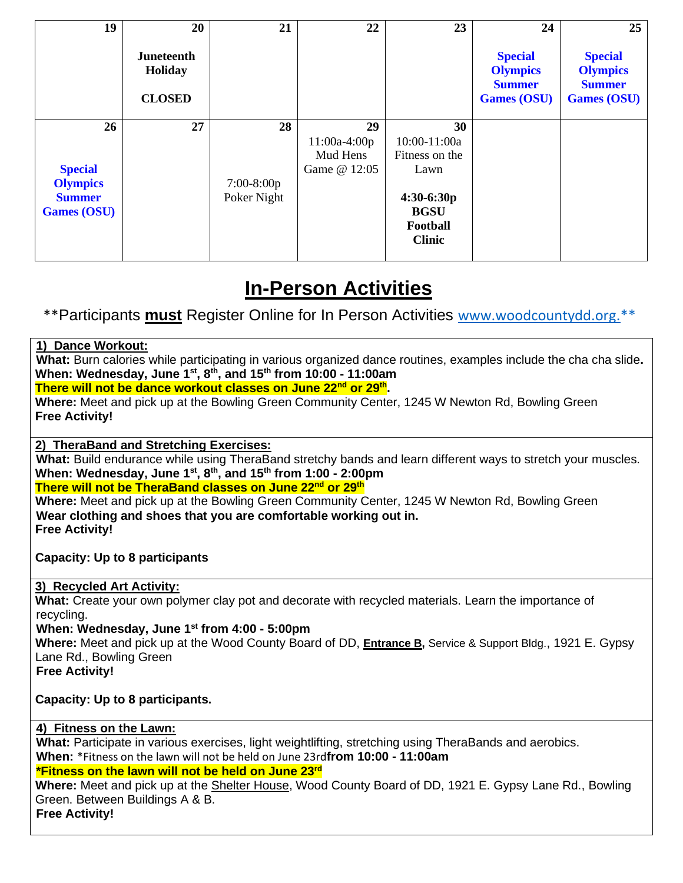| 19                 | 20                                     | 21           | 22             | 23             | 24                                                                       | 25                                                                       |
|--------------------|----------------------------------------|--------------|----------------|----------------|--------------------------------------------------------------------------|--------------------------------------------------------------------------|
|                    | Juneteenth<br>Holiday<br><b>CLOSED</b> |              |                |                | <b>Special</b><br><b>Olympics</b><br><b>Summer</b><br><b>Games (OSU)</b> | <b>Special</b><br><b>Olympics</b><br><b>Summer</b><br><b>Games (OSU)</b> |
| 26                 | 27                                     | 28           | 29             | 30             |                                                                          |                                                                          |
|                    |                                        |              | $11:00a-4:00p$ | $10:00-11:00a$ |                                                                          |                                                                          |
|                    |                                        |              | Mud Hens       | Fitness on the |                                                                          |                                                                          |
| <b>Special</b>     |                                        |              | Game @ 12:05   | Lawn           |                                                                          |                                                                          |
| <b>Olympics</b>    |                                        | $7:00-8:00p$ |                |                |                                                                          |                                                                          |
| <b>Summer</b>      |                                        | Poker Night  |                | $4:30-6:30p$   |                                                                          |                                                                          |
| <b>Games (OSU)</b> |                                        |              |                | <b>BGSU</b>    |                                                                          |                                                                          |
|                    |                                        |              |                | Football       |                                                                          |                                                                          |
|                    |                                        |              |                | <b>Clinic</b>  |                                                                          |                                                                          |
|                    |                                        |              |                |                |                                                                          |                                                                          |

# **In-Person Activities**

\*\*Participants **must** Register Online for In Person Activities [www.woodcountydd.org.](https://www.woodcountydd.org/services/recreation/registration/)\*\*

# **1) Dance Workout:**

**What:** Burn calories while participating in various organized dance routines, examples include the cha cha slide**. When: Wednesday, June 1st, 8th, and 15th from 10:00 - 11:00am**

**There will not be dance workout classes on June 22nd or 29th .**

**Where:** Meet and pick up at the Bowling Green Community Center, 1245 W Newton Rd, Bowling Green **Free Activity!**

# **2) TheraBand and Stretching Exercises:**

**What:** Build endurance while using TheraBand stretchy bands and learn different ways to stretch your muscles. **When: Wednesday, June 1st, 8th, and 15th from 1:00 - 2:00pm**

# **There will not be TheraBand classes on June 22nd or 29th**

**Where:** Meet and pick up at the Bowling Green Community Center, 1245 W Newton Rd, Bowling Green **Wear clothing and shoes that you are comfortable working out in. Free Activity!**

# **Capacity: Up to 8 participants**

# **3) Recycled Art Activity:**

**What:** Create your own polymer clay pot and decorate with recycled materials. Learn the importance of recycling.

# **When: Wednesday, June 1st from 4:00 - 5:00pm**

**Where:** Meet and pick up at the Wood County Board of DD, **Entrance B,** Service & Support Bldg., 1921 E. Gypsy Lane Rd., Bowling Green

**Free Activity!**

# **Capacity: Up to 8 participants.**

# **4) Fitness on the Lawn:**

**What:** Participate in various exercises, light weightlifting, stretching using TheraBands and aerobics. **When:** \*Fitness on the lawn will not be held on June 23rd**from 10:00 - 11:00am**

# **\*Fitness on the lawn will not be held on June 23rd**

**Where:** Meet and pick up at the Shelter House, Wood County Board of DD, 1921 E. Gypsy Lane Rd., Bowling Green. Between Buildings A & B.

**Free Activity!**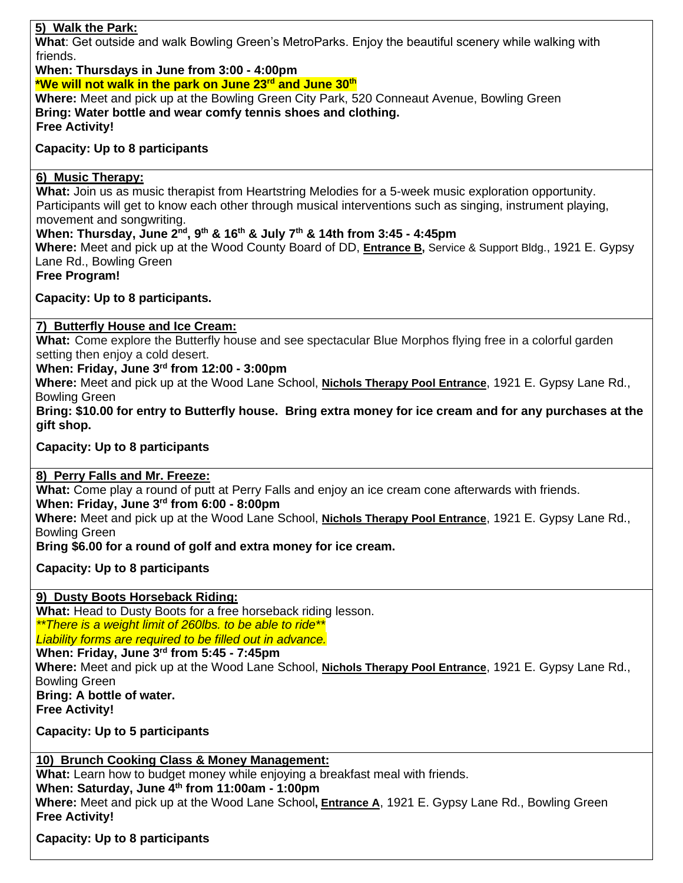# **5) Walk the Park:**

**What**: Get outside and walk Bowling Green's MetroParks. Enjoy the beautiful scenery while walking with friends.

**When: Thursdays in June from 3:00 - 4:00pm \*We will not walk in the park on June 23rd and June 30th Where:** Meet and pick up at the Bowling Green City Park, 520 Conneaut Avenue, Bowling Green **Bring: Water bottle and wear comfy tennis shoes and clothing. Free Activity!**

## **Capacity: Up to 8 participants**

#### **6) Music Therapy:**

**What:** Join us as music therapist from Heartstring Melodies for a 5-week music exploration opportunity. Participants will get to know each other through musical interventions such as singing, instrument playing, movement and songwriting.

# **When: Thursday, June 2nd, 9th & 16th & July 7th & 14th from 3:45 - 4:45pm**

**Where:** Meet and pick up at the Wood County Board of DD, **Entrance B,** Service & Support Bldg., 1921 E. Gypsy Lane Rd., Bowling Green

**Free Program!**

**Capacity: Up to 8 participants.**

## **7) Butterfly House and Ice Cream:**

**What:** Come explore the Butterfly house and see spectacular Blue Morphos flying free in a colorful garden setting then enjoy a cold desert.

## **When: Friday, June 3rd from 12:00 - 3:00pm**

**Where:** Meet and pick up at the Wood Lane School, **Nichols Therapy Pool Entrance**, 1921 E. Gypsy Lane Rd., Bowling Green

**Bring: \$10.00 for entry to Butterfly house. Bring extra money for ice cream and for any purchases at the gift shop.**

**Capacity: Up to 8 participants**

#### **8) Perry Falls and Mr. Freeze:**

**What:** Come play a round of putt at Perry Falls and enjoy an ice cream cone afterwards with friends. **When: Friday, June 3rd from 6:00 - 8:00pm**

**Where:** Meet and pick up at the Wood Lane School, **Nichols Therapy Pool Entrance**, 1921 E. Gypsy Lane Rd., Bowling Green

**Bring \$6.00 for a round of golf and extra money for ice cream.**

**Capacity: Up to 8 participants**

# **9) Dusty Boots Horseback Riding:**

**What:** Head to Dusty Boots for a free horseback riding lesson. *\*\*There is a weight limit of 260lbs. to be able to ride\*\**

*Liability forms are required to be filled out in advance.* 

**When: Friday, June 3rd from 5:45 - 7:45pm**

**Where:** Meet and pick up at the Wood Lane School, **Nichols Therapy Pool Entrance**, 1921 E. Gypsy Lane Rd., Bowling Green

**Bring: A bottle of water.**

**Free Activity!**

**Capacity: Up to 5 participants**

# **10) Brunch Cooking Class & Money Management:**

**What:** Learn how to budget money while enjoying a breakfast meal with friends. **When: Saturday, June 4th from 11:00am - 1:00pm Where:** Meet and pick up at the Wood Lane School**, Entrance A**, 1921 E. Gypsy Lane Rd., Bowling Green **Free Activity!**

# **Capacity: Up to 8 participants**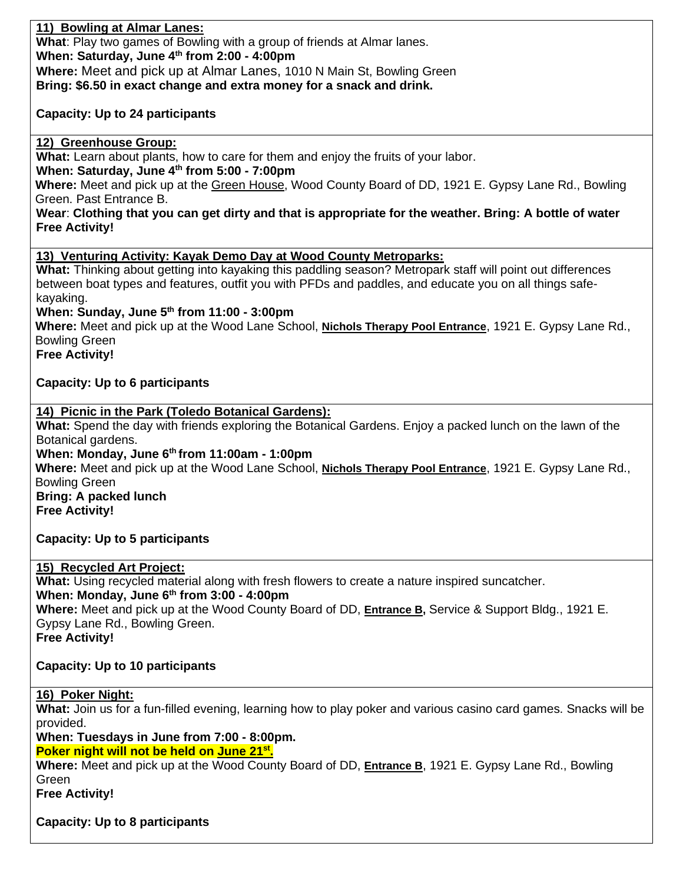**11) Bowling at Almar Lanes: What**: Play two games of Bowling with a group of friends at Almar lanes. **When: Saturday, June 4th from 2:00 - 4:00pm Where:** Meet and pick up at Almar Lanes, 1010 N Main St, Bowling Green **Bring: \$6.50 in exact change and extra money for a snack and drink.** 

**Capacity: Up to 24 participants**

**12) Greenhouse Group:**

**What:** Learn about plants, how to care for them and enjoy the fruits of your labor.

**When: Saturday, June 4th from 5:00 - 7:00pm**

**Where:** Meet and pick up at the Green House, Wood County Board of DD, 1921 E. Gypsy Lane Rd., Bowling Green. Past Entrance B.

**Wear**: **Clothing that you can get dirty and that is appropriate for the weather. Bring: A bottle of water Free Activity!**

**13) Venturing Activity: Kayak Demo Day at Wood County Metroparks:**

**What:** Thinking about getting into kayaking this paddling season? Metropark staff will point out differences between boat types and features, outfit you with PFDs and paddles, and educate you on all things safekayaking.

**When: Sunday, June 5th from 11:00 - 3:00pm**

**Where:** Meet and pick up at the Wood Lane School, **Nichols Therapy Pool Entrance**, 1921 E. Gypsy Lane Rd., Bowling Green

**Free Activity!**

**Capacity: Up to 6 participants**

# **14) Picnic in the Park (Toledo Botanical Gardens):**

**What:** Spend the day with friends exploring the Botanical Gardens. Enjoy a packed lunch on the lawn of the Botanical gardens.

**When: Monday, June 6th from 11:00am - 1:00pm**

**Where:** Meet and pick up at the Wood Lane School, **Nichols Therapy Pool Entrance**, 1921 E. Gypsy Lane Rd., Bowling Green

**Bring: A packed lunch Free Activity!**

**Capacity: Up to 5 participants**

# **15) Recycled Art Project:**

**What:** Using recycled material along with fresh flowers to create a nature inspired suncatcher. **When: Monday, June 6th from 3:00 - 4:00pm Where:** Meet and pick up at the Wood County Board of DD, **Entrance B,** Service & Support Bldg., 1921 E. Gypsy Lane Rd., Bowling Green. **Free Activity!**

**Capacity: Up to 10 participants** 

# **16) Poker Night:**

**What:** Join us for a fun-filled evening, learning how to play poker and various casino card games. Snacks will be provided.

**When: Tuesdays in June from 7:00 - 8:00pm.**

**Poker night will not be held on June 21st .**

**Where:** Meet and pick up at the Wood County Board of DD, **Entrance B**, 1921 E. Gypsy Lane Rd., Bowling **Green** 

**Free Activity!**

**Capacity: Up to 8 participants**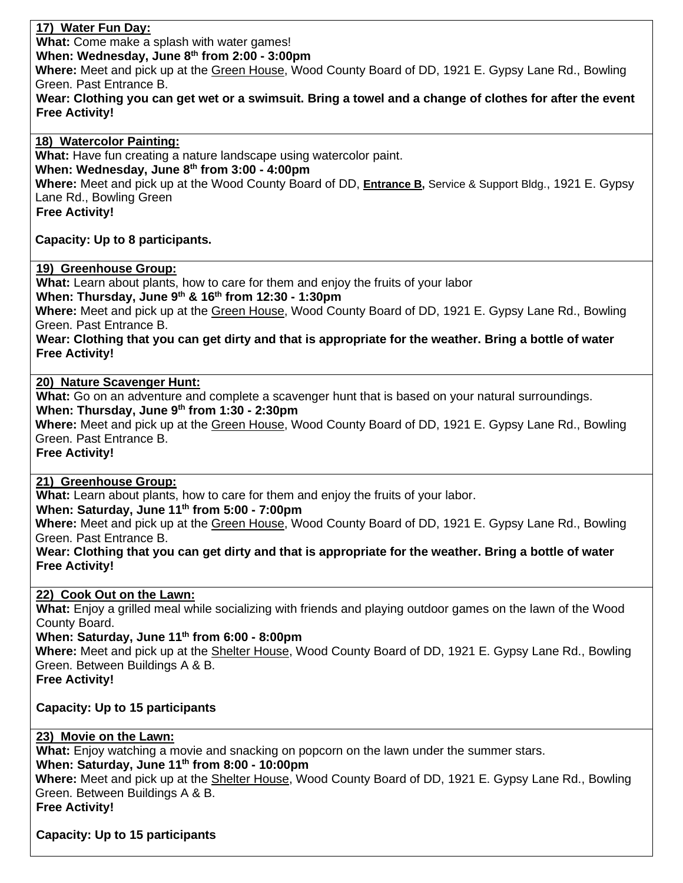## **17) Water Fun Day:**

**What:** Come make a splash with water games!

**When: Wednesday, June 8th from 2:00 - 3:00pm**

**Where:** Meet and pick up at the Green House, Wood County Board of DD, 1921 E. Gypsy Lane Rd., Bowling Green. Past Entrance B.

**Wear: Clothing you can get wet or a swimsuit. Bring a towel and a change of clothes for after the event Free Activity!**

**18) Watercolor Painting: What:** Have fun creating a nature landscape using watercolor paint. **When: Wednesday, June 8th from 3:00 - 4:00pm Where:** Meet and pick up at the Wood County Board of DD, **Entrance B,** Service & Support Bldg., 1921 E. Gypsy Lane Rd., Bowling Green **Free Activity!**

**Capacity: Up to 8 participants.**

#### **19) Greenhouse Group:**

**What:** Learn about plants, how to care for them and enjoy the fruits of your labor

**When: Thursday, June 9 th & 16th from 12:30 - 1:30pm**

**Where:** Meet and pick up at the Green House, Wood County Board of DD, 1921 E. Gypsy Lane Rd., Bowling Green. Past Entrance B.

**Wear: Clothing that you can get dirty and that is appropriate for the weather. Bring a bottle of water Free Activity!**

## **20) Nature Scavenger Hunt:**

**What:** Go on an adventure and complete a scavenger hunt that is based on your natural surroundings. **When: Thursday, June 9 th from 1:30 - 2:30pm**

**Where:** Meet and pick up at the Green House, Wood County Board of DD, 1921 E. Gypsy Lane Rd., Bowling Green. Past Entrance B.

**Free Activity!**

#### **21) Greenhouse Group:**

**What:** Learn about plants, how to care for them and enjoy the fruits of your labor.

**When: Saturday, June 11th from 5:00 - 7:00pm**

**Where:** Meet and pick up at the Green House, Wood County Board of DD, 1921 E. Gypsy Lane Rd., Bowling Green. Past Entrance B.

**Wear: Clothing that you can get dirty and that is appropriate for the weather. Bring a bottle of water Free Activity!**

#### **22) Cook Out on the Lawn:**

**What:** Enjoy a grilled meal while socializing with friends and playing outdoor games on the lawn of the Wood County Board.

**When: Saturday, June 11th from 6:00 - 8:00pm**

**Where:** Meet and pick up at the Shelter House, Wood County Board of DD, 1921 E. Gypsy Lane Rd., Bowling Green. Between Buildings A & B.

**Free Activity!**

# **Capacity: Up to 15 participants**

# **23) Movie on the Lawn:**

**What:** Enjoy watching a movie and snacking on popcorn on the lawn under the summer stars. **When: Saturday, June 11th from 8:00 - 10:00pm Where:** Meet and pick up at the Shelter House, Wood County Board of DD, 1921 E. Gypsy Lane Rd., Bowling Green. Between Buildings A & B. **Free Activity!**

**Capacity: Up to 15 participants**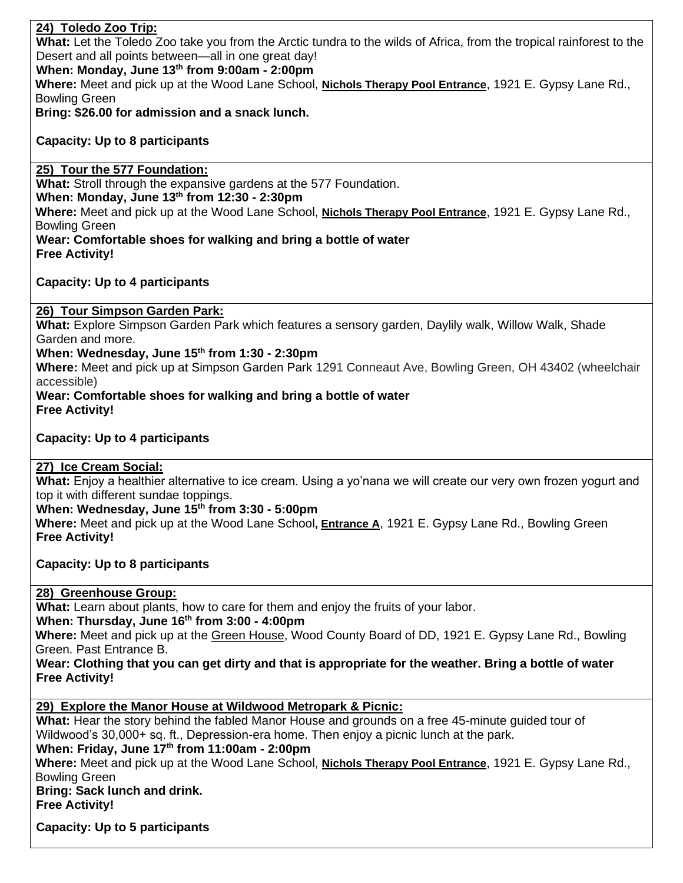## **24) Toledo Zoo Trip:**

**What:** Let the Toledo Zoo take you from the Arctic tundra to the wilds of Africa, from the tropical rainforest to the Desert and all points between—all in one great day!

**When: Monday, June 13th from 9:00am - 2:00pm**

**Where:** Meet and pick up at the Wood Lane School, **Nichols Therapy Pool Entrance**, 1921 E. Gypsy Lane Rd., Bowling Green

**Bring: \$26.00 for admission and a snack lunch.**

#### **Capacity: Up to 8 participants**

#### **25) Tour the 577 Foundation:**

**What:** Stroll through the expansive gardens at the 577 Foundation. **When: Monday, June 13th from 12:30 - 2:30pm Where:** Meet and pick up at the Wood Lane School, **Nichols Therapy Pool Entrance**, 1921 E. Gypsy Lane Rd., Bowling Green **Wear: Comfortable shoes for walking and bring a bottle of water Free Activity!**

#### **Capacity: Up to 4 participants**

#### **26) Tour Simpson Garden Park:**

**What:** Explore Simpson Garden Park which features a sensory garden, Daylily walk, Willow Walk, Shade Garden and more.

#### **When: Wednesday, June 15th from 1:30 - 2:30pm**

**Where:** Meet and pick up at Simpson Garden Park 1291 Conneaut Ave, Bowling Green, OH 43402 (wheelchair accessible)

#### **Wear: Comfortable shoes for walking and bring a bottle of water Free Activity!**

#### **Capacity: Up to 4 participants**

#### **27) Ice Cream Social:**

**What:** Enjoy a healthier alternative to ice cream. Using a yo'nana we will create our very own frozen yogurt and top it with different sundae toppings.

#### **When: Wednesday, June 15th from 3:30 - 5:00pm**

**Where:** Meet and pick up at the Wood Lane School**, Entrance A**, 1921 E. Gypsy Lane Rd., Bowling Green **Free Activity!**

**Capacity: Up to 8 participants**

**28) Greenhouse Group:**

**What:** Learn about plants, how to care for them and enjoy the fruits of your labor.

**When: Thursday, June 16th from 3:00 - 4:00pm**

**Where:** Meet and pick up at the Green House, Wood County Board of DD, 1921 E. Gypsy Lane Rd., Bowling Green. Past Entrance B.

**Wear: Clothing that you can get dirty and that is appropriate for the weather. Bring a bottle of water Free Activity!**

# **29) Explore the Manor House at Wildwood Metropark & Picnic:**

**What:** Hear the story behind the fabled Manor House and grounds on a free 45-minute guided tour of Wildwood's 30,000+ sq. ft., Depression-era home. Then enjoy a picnic lunch at the park.

**When: Friday, June 17th from 11:00am - 2:00pm**

**Where:** Meet and pick up at the Wood Lane School, **Nichols Therapy Pool Entrance**, 1921 E. Gypsy Lane Rd., Bowling Green

# **Bring: Sack lunch and drink.**

**Free Activity!**

**Capacity: Up to 5 participants**